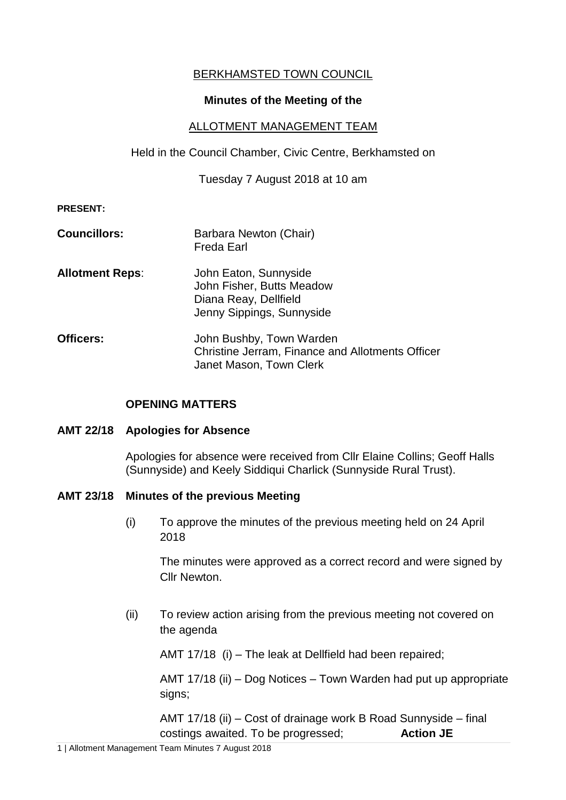# BERKHAMSTED TOWN COUNCIL

## **Minutes of the Meeting of the**

#### ALLOTMENT MANAGEMENT TEAM

Held in the Council Chamber, Civic Centre, Berkhamsted on

Tuesday 7 August 2018 at 10 am

#### **PRESENT:**

**Councillors:** Barbara Newton (Chair) Freda Earl **Allotment Reps**: John Eaton, Sunnyside John Fisher, Butts Meadow Diana Reay, Dellfield Jenny Sippings, Sunnyside **Officers:** John Bushby, Town Warden

# Christine Jerram, Finance and Allotments Officer Janet Mason, Town Clerk

## **OPENING MATTERS**

#### **AMT 22/18 Apologies for Absence**

Apologies for absence were received from Cllr Elaine Collins; Geoff Halls (Sunnyside) and Keely Siddiqui Charlick (Sunnyside Rural Trust).

#### **AMT 23/18 Minutes of the previous Meeting**

(i) To approve the minutes of the previous meeting held on 24 April 2018

The minutes were approved as a correct record and were signed by Cllr Newton.

(ii) To review action arising from the previous meeting not covered on the agenda

AMT 17/18 (i) – The leak at Dellfield had been repaired;

AMT 17/18 (ii) – Dog Notices – Town Warden had put up appropriate signs;

AMT 17/18 (ii) – Cost of drainage work B Road Sunnyside – final costings awaited. To be progressed; **Action JE**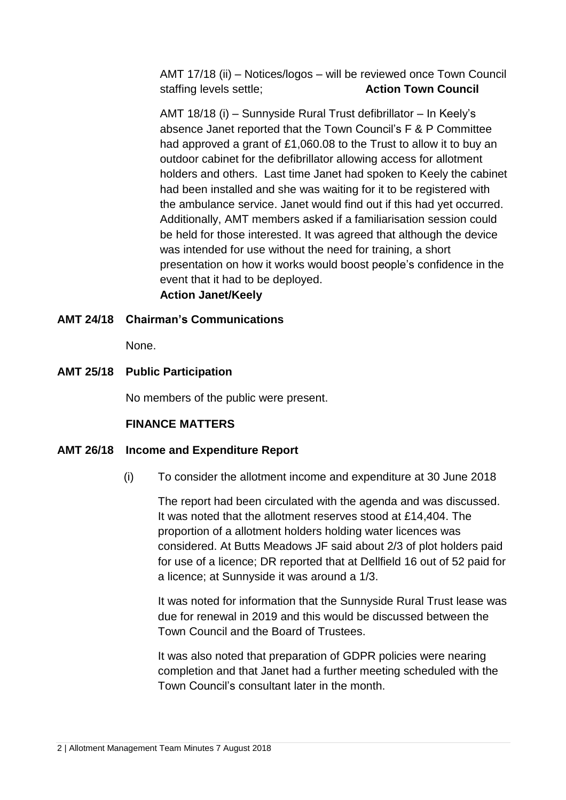AMT 17/18 (ii) – Notices/logos – will be reviewed once Town Council staffing levels settle; **Action Town Council**

AMT 18/18 (i) – Sunnyside Rural Trust defibrillator – In Keely's absence Janet reported that the Town Council's F & P Committee had approved a grant of £1,060.08 to the Trust to allow it to buy an outdoor cabinet for the defibrillator allowing access for allotment holders and others. Last time Janet had spoken to Keely the cabinet had been installed and she was waiting for it to be registered with the ambulance service. Janet would find out if this had yet occurred. Additionally, AMT members asked if a familiarisation session could be held for those interested. It was agreed that although the device was intended for use without the need for training, a short presentation on how it works would boost people's confidence in the event that it had to be deployed. **Action Janet/Keely**

#### **AMT 24/18 Chairman's Communications**

None.

## **AMT 25/18 Public Participation**

No members of the public were present.

#### **FINANCE MATTERS**

#### **AMT 26/18 Income and Expenditure Report**

(i) To consider the allotment income and expenditure at 30 June 2018

The report had been circulated with the agenda and was discussed. It was noted that the allotment reserves stood at £14,404. The proportion of a allotment holders holding water licences was considered. At Butts Meadows JF said about 2/3 of plot holders paid for use of a licence; DR reported that at Dellfield 16 out of 52 paid for a licence; at Sunnyside it was around a 1/3.

It was noted for information that the Sunnyside Rural Trust lease was due for renewal in 2019 and this would be discussed between the Town Council and the Board of Trustees.

It was also noted that preparation of GDPR policies were nearing completion and that Janet had a further meeting scheduled with the Town Council's consultant later in the month.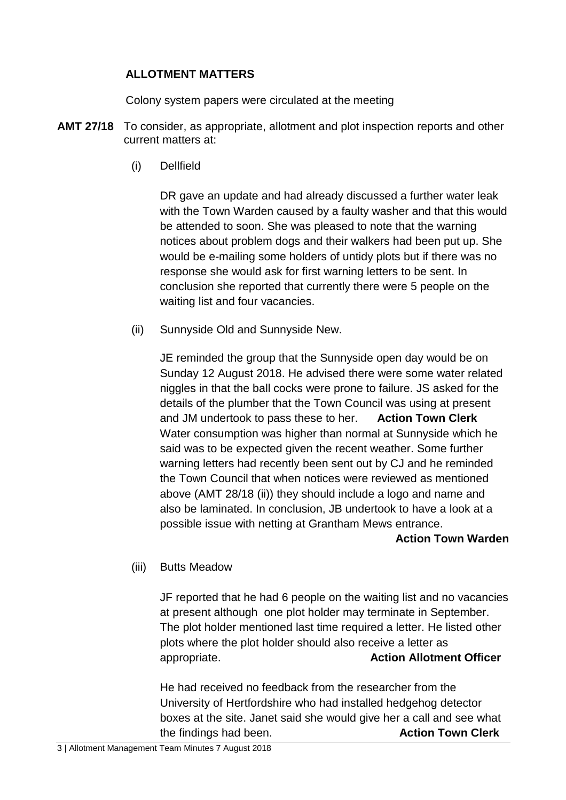## **ALLOTMENT MATTERS**

Colony system papers were circulated at the meeting

- **AMT 27/18** To consider, as appropriate, allotment and plot inspection reports and other current matters at:
	- (i) Dellfield

DR gave an update and had already discussed a further water leak with the Town Warden caused by a faulty washer and that this would be attended to soon. She was pleased to note that the warning notices about problem dogs and their walkers had been put up. She would be e-mailing some holders of untidy plots but if there was no response she would ask for first warning letters to be sent. In conclusion she reported that currently there were 5 people on the waiting list and four vacancies.

(ii) Sunnyside Old and Sunnyside New.

JE reminded the group that the Sunnyside open day would be on Sunday 12 August 2018. He advised there were some water related niggles in that the ball cocks were prone to failure. JS asked for the details of the plumber that the Town Council was using at present and JM undertook to pass these to her. **Action Town Clerk** Water consumption was higher than normal at Sunnyside which he said was to be expected given the recent weather. Some further warning letters had recently been sent out by CJ and he reminded the Town Council that when notices were reviewed as mentioned above (AMT 28/18 (ii)) they should include a logo and name and also be laminated. In conclusion, JB undertook to have a look at a possible issue with netting at Grantham Mews entrance.

#### **Action Town Warden**

(iii) Butts Meadow

JF reported that he had 6 people on the waiting list and no vacancies at present although one plot holder may terminate in September. The plot holder mentioned last time required a letter. He listed other plots where the plot holder should also receive a letter as appropriate. **Action Allotment Officer**

He had received no feedback from the researcher from the University of Hertfordshire who had installed hedgehog detector boxes at the site. Janet said she would give her a call and see what the findings had been. **Action Town Clerk**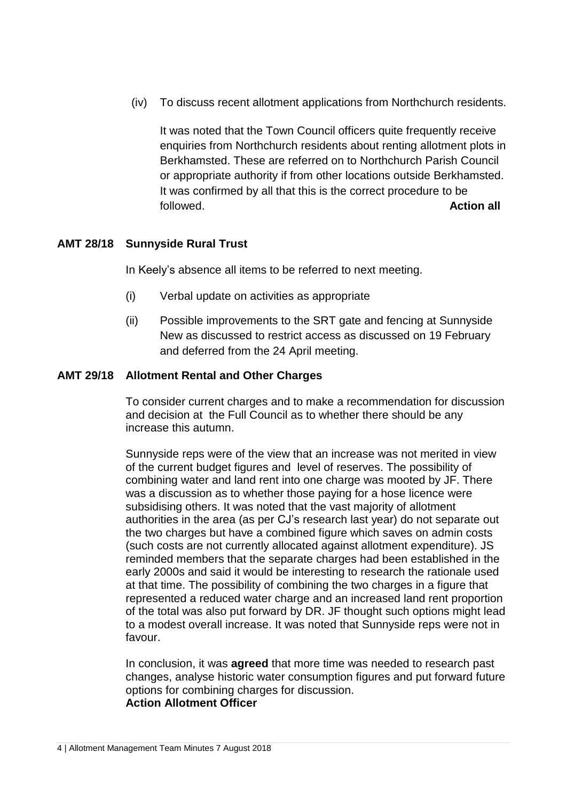(iv) To discuss recent allotment applications from Northchurch residents.

It was noted that the Town Council officers quite frequently receive enquiries from Northchurch residents about renting allotment plots in Berkhamsted. These are referred on to Northchurch Parish Council or appropriate authority if from other locations outside Berkhamsted. It was confirmed by all that this is the correct procedure to be followed. **Action all**

## **AMT 28/18 Sunnyside Rural Trust**

In Keely's absence all items to be referred to next meeting.

- (i) Verbal update on activities as appropriate
- (ii) Possible improvements to the SRT gate and fencing at Sunnyside New as discussed to restrict access as discussed on 19 February and deferred from the 24 April meeting.

## **AMT 29/18 Allotment Rental and Other Charges**

To consider current charges and to make a recommendation for discussion and decision at the Full Council as to whether there should be any increase this autumn.

Sunnyside reps were of the view that an increase was not merited in view of the current budget figures and level of reserves. The possibility of combining water and land rent into one charge was mooted by JF. There was a discussion as to whether those paying for a hose licence were subsidising others. It was noted that the vast majority of allotment authorities in the area (as per CJ's research last year) do not separate out the two charges but have a combined figure which saves on admin costs (such costs are not currently allocated against allotment expenditure). JS reminded members that the separate charges had been established in the early 2000s and said it would be interesting to research the rationale used at that time. The possibility of combining the two charges in a figure that represented a reduced water charge and an increased land rent proportion of the total was also put forward by DR. JF thought such options might lead to a modest overall increase. It was noted that Sunnyside reps were not in favour.

In conclusion, it was **agreed** that more time was needed to research past changes, analyse historic water consumption figures and put forward future options for combining charges for discussion. **Action Allotment Officer**